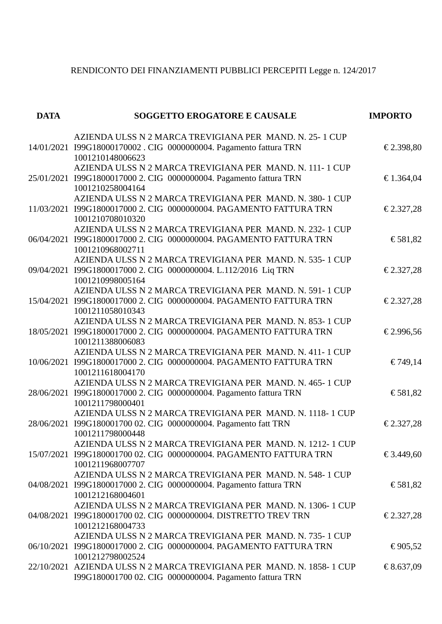## RENDICONTO DEI FINANZIAMENTI PUBBLICI PERCEPITI Legge n. 124/2017

| <b>DATA</b> | <b>SOGGETTO EROGATORE E CAUSALE</b>                                                                                                                 | <b>IMPORTO</b> |
|-------------|-----------------------------------------------------------------------------------------------------------------------------------------------------|----------------|
|             | AZIENDA ULSS N 2 MARCA TREVIGIANA PER MAND. N. 25-1 CUP<br>14/01/2021 I99G18000170002 . CIG 0000000004. Pagamento fattura TRN<br>1001210148006623   | € 2.398,80     |
|             | AZIENDA ULSS N 2 MARCA TREVIGIANA PER MAND. N. 111-1 CUP<br>25/01/2021 I99G1800017000 2. CIG 0000000004. Pagamento fattura TRN<br>1001210258004164  | € 1.364,04     |
|             | AZIENDA ULSS N 2 MARCA TREVIGIANA PER MAND. N. 380-1 CUP<br>11/03/2021 I99G1800017000 2. CIG 0000000004. PAGAMENTO FATTURA TRN<br>1001210708010320  | € 2.327,28     |
|             | AZIENDA ULSS N 2 MARCA TREVIGIANA PER MAND. N. 232-1 CUP<br>06/04/2021 I99G1800017000 2. CIG 0000000004. PAGAMENTO FATTURA TRN<br>1001210968002711  | € 581,82       |
|             | AZIENDA ULSS N 2 MARCA TREVIGIANA PER MAND. N. 535-1 CUP<br>09/04/2021 I99G1800017000 2. CIG 0000000004. L.112/2016 Liq TRN<br>1001210998005164     | € 2.327,28     |
|             | AZIENDA ULSS N 2 MARCA TREVIGIANA PER MAND. N. 591-1 CUP<br>15/04/2021 I99G1800017000 2. CIG 0000000004. PAGAMENTO FATTURA TRN<br>1001211058010343  | € 2.327,28     |
|             | AZIENDA ULSS N 2 MARCA TREVIGIANA PER MAND, N. 853-1 CUP<br>18/05/2021 199G1800017000 2. CIG 0000000004. PAGAMENTO FATTURA TRN<br>1001211388006083  | € 2.996,56     |
|             | AZIENDA ULSS N 2 MARCA TREVIGIANA PER MAND. N. 411-1 CUP<br>10/06/2021 I99G1800017000 2. CIG 0000000004. PAGAMENTO FATTURA TRN<br>1001211618004170  | € 749,14       |
|             | AZIENDA ULSS N 2 MARCA TREVIGIANA PER MAND. N. 465-1 CUP<br>28/06/2021 I99G1800017000 2. CIG 0000000004. Pagamento fattura TRN<br>1001211798000401  | € 581,82       |
|             | AZIENDA ULSS N 2 MARCA TREVIGIANA PER MAND. N. 1118-1 CUP<br>28/06/2021 I99G180001700 02. CIG 0000000004. Pagamento fatt TRN<br>1001211798000448    | € 2.327,28     |
|             | AZIENDA ULSS N 2 MARCA TREVIGIANA PER MAND. N. 1212-1 CUP<br>15/07/2021 199G180001700 02. CIG 0000000004. PAGAMENTO FATTURA TRN<br>1001211968007707 | € 3.449,60     |
|             | AZIENDA ULSS N 2 MARCA TREVIGIANA PER MAND. N. 548-1 CUP<br>04/08/2021 I99G1800017000 2. CIG 0000000004. Pagamento fattura TRN<br>1001212168004601  | € 581,82       |
|             | AZIENDA ULSS N 2 MARCA TREVIGIANA PER MAND. N. 1306-1 CUP<br>04/08/2021 I99G180001700 02. CIG 0000000004. DISTRETTO TREV TRN<br>1001212168004733    | € 2.327,28     |
|             | AZIENDA ULSS N 2 MARCA TREVIGIANA PER MAND. N. 735-1 CUP<br>06/10/2021 I99G1800017000 2. CIG 0000000004. PAGAMENTO FATTURA TRN<br>1001212798002524  | €905,52        |
|             | 22/10/2021 AZIENDA ULSS N 2 MARCA TREVIGIANA PER MAND. N. 1858-1 CUP<br>I99G180001700 02. CIG 0000000004. Pagamento fattura TRN                     | € 8.637,09     |